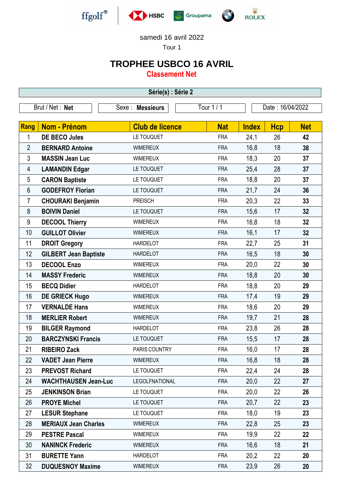

samedi 16 avril 2022

Tour 1

## **TROPHEE USBCO 16 AVRIL**

**Classement Net**

| Série(s) : Série 2 |                              |                        |            |              |                  |            |  |  |  |
|--------------------|------------------------------|------------------------|------------|--------------|------------------|------------|--|--|--|
| Brut / Net: Net    |                              | Sexe : Messieurs       | Tour 1 / 1 |              | Date: 16/04/2022 |            |  |  |  |
|                    |                              |                        |            |              |                  |            |  |  |  |
| Rang               | <b>Nom - Prénom</b>          | <b>Club de licence</b> | <b>Nat</b> | <b>Index</b> | <b>Hcp</b>       | <b>Net</b> |  |  |  |
| 1                  | <b>DE BECO Jules</b>         | LE TOUQUET             | <b>FRA</b> | 24,1         | 26               | 42         |  |  |  |
| $\overline{2}$     | <b>BERNARD Antoine</b>       | <b>WIMEREUX</b>        | <b>FRA</b> | 16,8         | 18               | 38         |  |  |  |
| 3                  | <b>MASSIN Jean Luc</b>       | <b>WIMEREUX</b>        | <b>FRA</b> | 18,3         | 20               | 37         |  |  |  |
| 4                  | <b>LAMANDIN Edgar</b>        | LE TOUQUET             | <b>FRA</b> | 25,4         | 28               | 37         |  |  |  |
| 5                  | <b>CARON Baptiste</b>        | LE TOUQUET             | <b>FRA</b> | 18,8         | 20               | 37         |  |  |  |
| $6\phantom{1}$     | <b>GODEFROY Florian</b>      | LE TOUQUET             | <b>FRA</b> | 21,7         | 24               | 36         |  |  |  |
| 7                  | <b>CHOURAKI Benjamin</b>     | <b>PREISCH</b>         | <b>FRA</b> | 20,3         | 22               | 33         |  |  |  |
| 8                  | <b>BOIVIN Daniel</b>         | LE TOUQUET             | <b>FRA</b> | 15,6         | 17               | 32         |  |  |  |
| 9                  | <b>DECOOL Thierry</b>        | <b>WIMEREUX</b>        | <b>FRA</b> | 16,8         | 18               | 32         |  |  |  |
| 10                 | <b>GUILLOT Olivier</b>       | <b>WIMEREUX</b>        | <b>FRA</b> | 16,1         | 17               | 32         |  |  |  |
| 11                 | <b>DROIT Gregory</b>         | <b>HARDELOT</b>        | <b>FRA</b> | 22,7         | 25               | 31         |  |  |  |
| 12                 | <b>GILBERT Jean Baptiste</b> | <b>HARDELOT</b>        | <b>FRA</b> | 16,5         | 18               | 30         |  |  |  |
| 13                 | <b>DECOOL Enzo</b>           | <b>WIMEREUX</b>        | <b>FRA</b> | 20,0         | 22               | 30         |  |  |  |
| 14                 | <b>MASSY Frederic</b>        | <b>WIMEREUX</b>        | <b>FRA</b> | 18,8         | 20               | 30         |  |  |  |
| 15                 | <b>BECQ Didier</b>           | <b>HARDELOT</b>        | <b>FRA</b> | 18,8         | 20               | 29         |  |  |  |
| 16                 | <b>DE GRIECK Hugo</b>        | <b>WIMEREUX</b>        | <b>FRA</b> | 17,4         | 19               | 29         |  |  |  |
| 17                 | <b>VERNALDE Hans</b>         | <b>WIMEREUX</b>        | <b>FRA</b> | 18,6         | 20               | 29         |  |  |  |
| 18                 | <b>MERLIER Robert</b>        | <b>WIMEREUX</b>        | <b>FRA</b> | 19,7         | 21               | 28         |  |  |  |
| 19                 | <b>BILGER Raymond</b>        | <b>HARDELOT</b>        | <b>FRA</b> | 23,8         | 26               | 28         |  |  |  |
| 20                 | <b>BARCZYNSKI Francis</b>    | LE TOUQUET             | <b>FRA</b> | 15,5         | 17               | 28         |  |  |  |
| 21                 | <b>RIBEIRO Zack</b>          | PARIS COUNTRY          | <b>FRA</b> | 16,0         | 17               | 28         |  |  |  |
| 22                 | <b>VADET Jean Pierre</b>     | <b>WIMEREUX</b>        | <b>FRA</b> | 16,8         | 18               | 28         |  |  |  |
| 23                 | <b>PREVOST Richard</b>       | LE TOUQUET             | <b>FRA</b> | 22,4         | 24               | 28         |  |  |  |
| 24                 | <b>WACHTHAUSEN Jean-Luc</b>  | <b>LEGOLFNATIONAL</b>  | <b>FRA</b> | 20,0         | 22               | 27         |  |  |  |
| 25                 | <b>JENKINSON Brian</b>       | LE TOUQUET             | <b>FRA</b> | 20,0         | 22               | 26         |  |  |  |
| 26                 | <b>PROYE Michel</b>          | LE TOUQUET             | <b>FRA</b> | 20,7         | 22               | 23         |  |  |  |
| 27                 | <b>LESUR Stephane</b>        | LE TOUQUET             | <b>FRA</b> | 18,0         | 19               | 23         |  |  |  |
| 28                 | <b>MERIAUX Jean Charles</b>  | <b>WIMEREUX</b>        | <b>FRA</b> | 22,8         | 25               | 23         |  |  |  |
| 29                 | <b>PESTRE Pascal</b>         | <b>WIMEREUX</b>        | <b>FRA</b> | 19,9         | 22               | 22         |  |  |  |
| 30                 | <b>NANINCK Frederic</b>      | <b>WIMEREUX</b>        | <b>FRA</b> | 16,6         | 18               | 21         |  |  |  |
| 31                 | <b>BURETTE Yann</b>          | <b>HARDELOT</b>        | <b>FRA</b> | 20,2         | 22               | 20         |  |  |  |
| 32                 | <b>DUQUESNOY Maxime</b>      | <b>WIMEREUX</b>        | <b>FRA</b> | 23,9         | 26               | 20         |  |  |  |